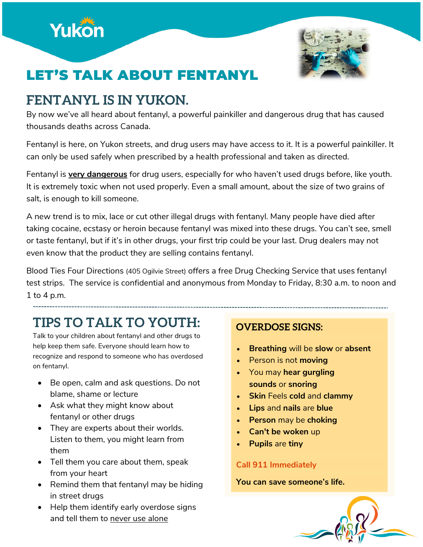



# LET'S TALK ABOUT FENTANYL

## **FENTANYL IS IN YUKON.**

By now we've all heard about fentanyl, a powerful painkiller and dangerous drug that has caused thousands deaths across Canada.

Fentanyl is here, on Yukon streets, and drug users may have access to it. It is a powerful painkiller. It can only be used safely when prescribed by a health professional and taken as directed.

Fentanyl is **very dangerous** for drug users, especially for who haven't used drugs before, like youth. It is extremely toxic when not used properly. Even a small amount, about the size of two grains of salt, is enough to kill someone.

A new trend is to mix, lace or cut other illegal drugs with fentanyl. Many people have died after taking cocaine, ecstasy or heroin because fentanyl was mixed into these drugs. You can't see, smell or taste fentanyl, but if it's in other drugs, your first trip could be your last. Drug dealers may not even know that the product they are selling contains fentanyl.

Blood Ties Four Directions (405 Ogilvie Street) offers a free Drug Checking Service that uses fentanyl test strips. The service is confidential and anonymous from Monday to Friday, 8:30 a.m. to noon and 1 to 4 p.m.

# **TIPS TO TALK TO YOUTH:**

Talk to your children about fentanyl and other drugs to help keep them safe. Everyone should learn how to recognize and respond to someone who has overdosed on fentanyl.

- Be open, calm and ask questions. Do not blame, shame or lecture
- Ask what they might know about fentanyl or other drugs
- They are experts about their worlds. Listen to them, you might learn from them
- Tell them you care about them, speak from your heart
- Remind them that fentanyl may be hiding in street drugs
- Help them identify early overdose signs and tell them to never use alone

### **OVERDOSE SIGNS:**

- **Breathing** will be **slow** or **absent**
- Person is not **moving**
- You may **hear gurgling sounds** or **snoring**
- **Skin** Feels **cold** and **clammy**
- **Lips** and **nails** are **blue**
- **Person** may be **choking**
- **Can't be woken** up
- **Pupils** are **tiny**

#### **Call 911 Immediately**

#### **You can save someone's life.**